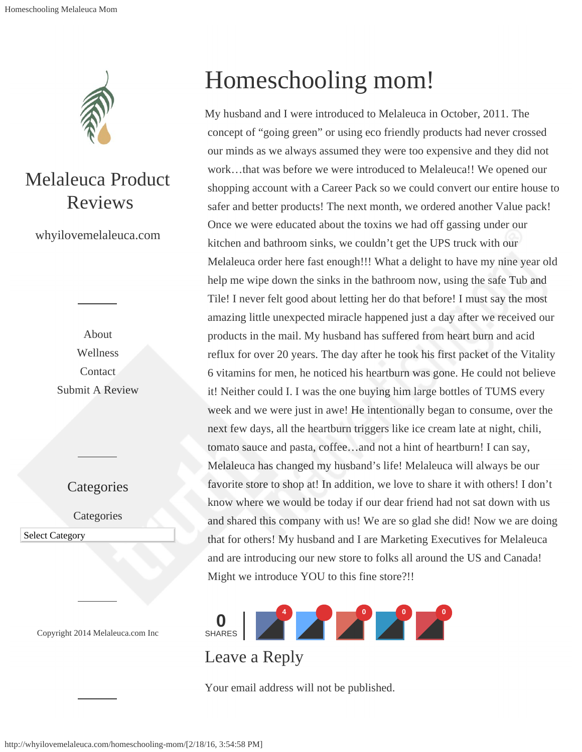

### Melaleuca Product Reviews

whyilovemelaleuca.com

[About](http://whyilovemelaleuca.com/about/) [Wellness](http://whyilovemelaleuca.com/category/wellness/) [Contact](http://whyilovemelaleuca.com/melaleuca-customer-service/) [Submit A Review](http://whyilovemelaleuca.com/submit-review/)

#### **Categories**

**Categories** 

Select Category Select Category

Copyright 2014 [Melaleuca.com](http://www.melaleuca.info/) Inc

# Homeschooling mom!

My husband and I were introduced to Melaleuca in October, 2011. The concept of "going green" or using eco friendly products had never crossed our minds as we always assumed they were too expensive and they did not work…that was before we were introduced to Melaleuca!! We opened our shopping account with a Career Pack so we could convert our entire house to safer and better products! The next month, we ordered another Value pack! Once we were educated about the toxins we had off gassing under our kitchen and bathroom sinks, we couldn't get the UPS truck with our Melaleuca order here fast enough!!! What a delight to have my nine year old help me wipe down the sinks in the bathroom now, using the safe Tub and Tile! I never felt good about letting her do that before! I must say the most amazing little unexpected miracle happened just a day after we received our products in the mail. My husband has suffered from heart burn and acid reflux for over 20 years. The day after he took his first packet of the Vitality 6 vitamins for men, he noticed his heartburn was gone. He could not believe it! Neither could I. I was the one buying him large bottles of TUMS every week and we were just in awe! He intentionally began to consume, over the next few days, all the heartburn triggers like ice cream late at night, chili, tomato sauce and pasta, coffee…and not a hint of heartburn! I can say, Melaleuca has changed my husband's life! Melaleuca will always be our favorite store to shop at! In addition, we love to share it with others! I don't know where we would be today if our dear friend had not sat down with us and shared this company with us! We are so glad she did! Now we are doing that for others! My husband and I are Marketing Executives for Melaleuca and are introducing our new store to folks all around the US and Canada! Might we introduce YOU to this fine store?!!



Your email address will not be published.